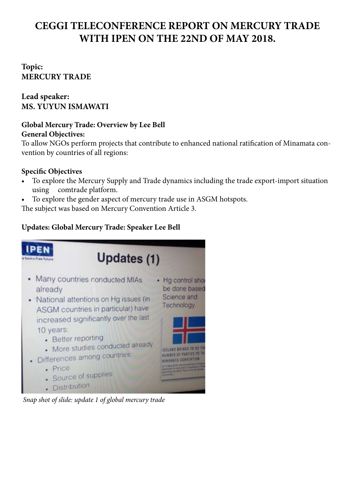# **CEGGI TELECONFERENCE REPORT ON MERCURY TRADE WITH IPEN ON THE 22ND OF MAY 2018.**

# **Topic: MERCURY TRADE**

# **Lead speaker: MS. YUYUN ISMAWATI**

# **Global Mercury Trade: Overview by Lee Bell**

## **General Objectives:**

To allow NGOs perform projects that contribute to enhanced national ratification of Minamata convention by countries of all regions:

# **Specific Objectives**

- To explore the Mercury Supply and Trade dynamics including the trade export-import situation using comtrade platform.
- To explore the gender aspect of mercury trade use in ASGM hotspots.

The subject was based on Mercury Convention Article 3.

# **Updates: Global Mercury Trade: Speaker Lee Bell**



*Snap shot of slide: update 1 of global mercury trade*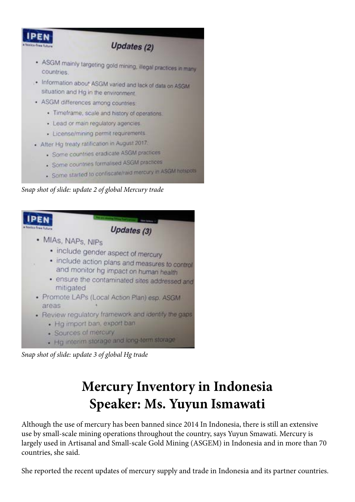

- Some started to confiscate/raid mercury in ASGM hotspots

*Snap shot of slide: update 2 of global Mercury trade*



. Hg interim storage and long-term storage

*Snap shot of slide: update 3 of global Hg trade*

# **Mercury Inventory in Indonesia Speaker: Ms. Yuyun Ismawati**

Although the use of mercury has been banned since 2014 In Indonesia, there is still an extensive use by small-scale mining operations throughout the country, says Yuyun Smawati. Mercury is largely used in Artisanal and Small-scale Gold Mining (ASGEM) in Indonesia and in more than 70 countries, she said.

She reported the recent updates of mercury supply and trade in Indonesia and its partner countries.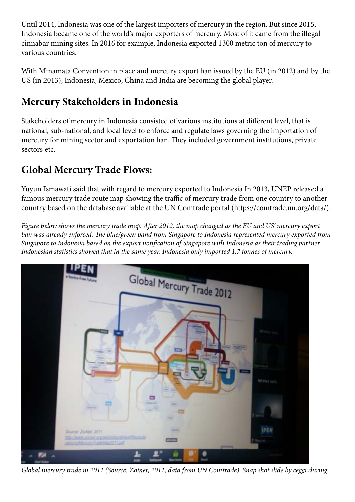Until 2014, Indonesia was one of the largest importers of mercury in the region. But since 2015, Indonesia became one of the world's major exporters of mercury. Most of it came from the illegal cinnabar mining sites. In 2016 for example, Indonesia exported 1300 metric ton of mercury to various countries.

With Minamata Convention in place and mercury export ban issued by the EU (in 2012) and by the US (in 2013), Indonesia, Mexico, China and India are becoming the global player.

# **Mercury Stakeholders in Indonesia**

Stakeholders of mercury in Indonesia consisted of various institutions at different level, that is national, sub-national, and local level to enforce and regulate laws governing the importation of mercury for mining sector and exportation ban. They included government institutions, private sectors etc.

# **Global Mercury Trade Flows:**

Yuyun Ismawati said that with regard to mercury exported to Indonesia In 2013, UNEP released a famous mercury trade route map showing the traffic of mercury trade from one country to another country based on the database available at the UN Comtrade portal (https://comtrade.un.org/data/).

*Figure below shows the mercury trade map. After 2012, the map changed as the EU and US' mercury export ban was already enforced. The blue/green band from Singapore to Indonesia represented mercury exported from Singapore to Indonesia based on the export notification of Singapore with Indonesia as their trading partner. Indonesian statistics showed that in the same year, Indonesia only imported 1.7 tonnes of mercury.*



*Global mercury trade in 2011 (Source: Zoinet, 2011, data from UN Comtrade). Snap shot slide by ceggi during*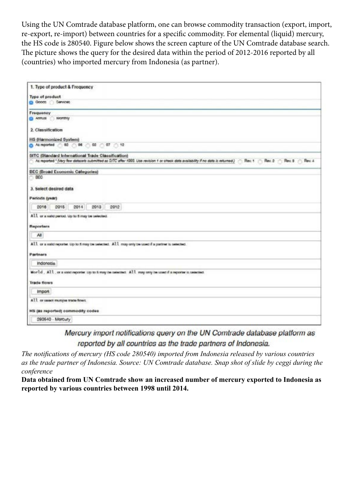Using the UN Comtrade database platform, one can browse commodity transaction (export, import, re-export, re-import) between countries for a specific commodity. For elemental (liquid) mercury, the HS code is 280540. Figure below shows the screen capture of the UN Comtrade database search. The picture shows the query for the desired data within the period of 2012-2016 reported by all (countries) who imported mercury from Indonesia (as partner).

| 1. Type of product & Frequency                                                                                                                                                                                                                                                    |
|-----------------------------------------------------------------------------------------------------------------------------------------------------------------------------------------------------------------------------------------------------------------------------------|
| Type of product                                                                                                                                                                                                                                                                   |
| GOODS SAVIOUS                                                                                                                                                                                                                                                                     |
| Frequency                                                                                                                                                                                                                                                                         |
| <b>CO ANNUS</b><br>Monthly                                                                                                                                                                                                                                                        |
| 2. Classification                                                                                                                                                                                                                                                                 |
| HS (Harmonized System)                                                                                                                                                                                                                                                            |
| <b>0</b> As reported ( 02 ( 04 ( 02 ( 07 ( 12                                                                                                                                                                                                                                     |
| SITC (Standard International Trade Classification)<br>As reported " (May few distances submitted as SITC after 1993, Use revision 1 or check data availability if no data is returned.) [ Rev, 1   Rev, 2   Rev, 2   Rev, 8   Rev, 8   Rev, 8   Rev, 8   Rev, 8   Rev, 8   Rev, 8 |
| <b>BEC (Broad Economic Categories)</b><br>BEC                                                                                                                                                                                                                                     |
| 3. Select desired data                                                                                                                                                                                                                                                            |
| Parioda (year)                                                                                                                                                                                                                                                                    |
| 2015<br>2013<br>2016<br>2014<br>2012                                                                                                                                                                                                                                              |
| All or a said parted. Up to 5 may be selected.                                                                                                                                                                                                                                    |
| Reporters                                                                                                                                                                                                                                                                         |
| All                                                                                                                                                                                                                                                                               |
| All or a valid reporter Up to 6 may be selected. All may only be used if a partner is selected.                                                                                                                                                                                   |
| Partners                                                                                                                                                                                                                                                                          |
| Indonesia                                                                                                                                                                                                                                                                         |
| Morld, All, or a vaid reporter up to 6 may be selected. All may any be used if a reporter is selected.                                                                                                                                                                            |
| <b>Trade flows</b>                                                                                                                                                                                                                                                                |
| Import                                                                                                                                                                                                                                                                            |
| All or salact mutiple trade finest.                                                                                                                                                                                                                                               |
| HS (as reported) commodity codes                                                                                                                                                                                                                                                  |
| 290540 - Marcury                                                                                                                                                                                                                                                                  |

Mercury import notifications query on the UN Comtrade database platform as reported by all countries as the trade partners of Indonesia.

*The notifications of mercury (HS code 280540) imported from Indonesia released by various countries as the trade partner of Indonesia. Source: UN Comtrade database. Snap shot of slide by ceggi during the conference*

**Data obtained from UN Comtrade show an increased number of mercury exported to Indonesia as reported by various countries between 1998 until 2014.**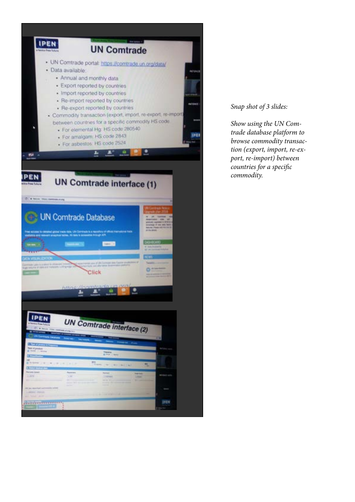

#### *Snap shot of 3 slides:*

*Show using the UN Comtrade database platform to browse commodity transaction (export, import, re-export, re-import) between countries for a specific commodity.*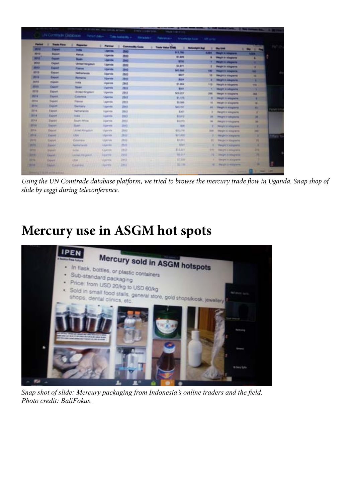| Parkers            | ٠<br><b>Tracks Flores</b> | ٠<br><b>Page 19</b>              | Partner                                             | <b>Commodity Code</b> | <b>Tracks Holive STORS</b>              |            |                                                        |                   | TAT I          |
|--------------------|---------------------------|----------------------------------|-----------------------------------------------------|-----------------------|-----------------------------------------|------------|--------------------------------------------------------|-------------------|----------------|
| -                  | <b>County</b>             | <b>Bally</b>                     | <b>Ligardo</b>                                      | E.                    | <b>Returnight Prof</b><br><b>MA 790</b> | ٠          | <b>Day Unid</b><br><b>SURFA Changes in Integration</b> | <b>CONTRACTOR</b> |                |
| 9013<br><b>MAY</b> | Export                    | <b>Righted</b>                   | Ugenia                                              | 2943                  | \$1,876                                 | ٠          | <b>PROJECT DI ATRAUGHTER</b>                           | <b>Allen</b>      |                |
|                    | <b>Expose</b>             | <b>Board</b>                     | Ugalica                                             | <b>DAI</b>            | <b>STM</b>                              |            | <b>Changes in comparison</b>                           | ٠                 |                |
| 测块                 | Elephant                  | <b>United Kingdom</b>            | Ugante                                              | 2943                  | <b>BARPS</b>                            | ٠          | <b>Harryton Ar Adaptation</b>                          | ٠                 |                |
| <b>MHT</b>         | <b>Calculat</b>           | <b>Present</b>                   | <b>Ulperule</b>                                     | <b>Java</b>           | <b>MIL MOR</b>                          | −          | <b>Program to Advancedor</b>                           | ₩                 |                |
| <b>MES</b>         | Expant                    | <b>Notherlands</b>               | Ugarule                                             | 2843                  | <b>SACT</b>                             | w          | <b>Simple in Integration</b>                           | <b>RE</b>         |                |
| 2019               | Eagust                    | <b>Romance</b>                   | <b>Ugarda</b>                                       | 2943                  | \$314                                   | ٠          | Diego in allegrants                                    | х                 |                |
| 2019.              | Export                    | <b>Brodie</b>                    | <b><i><u>Married</u></i></b>                        | DHI                   | \$1,064                                 | <b>HS</b>  | Visuality in Integration                               | <b>YNE</b>        |                |
| mit                | Export                    | <b>Tours</b>                     | <b>Uperate</b>                                      | 四川                    | Size:                                   |            | Weight in subspaces.                                   | ٠                 |                |
| <b>STREE</b>       | Elepset                   | <b>United Kingston</b>           | <b><i><u><u><b>Ugarda</b></u></u></i></b>           | 2943                  | \$24,257                                | 394        | <b>Height in kissuinkins</b>                           | ma                |                |
| 3914               | Electri                   | Cinemana                         | <b><i><u><i><u><b>Userda</b></u></i></u></i></b>    | 排材                    | 31,126                                  | ٠          | <b>PRIGHT II ANGINER</b>                               |                   |                |
| <b>JENA</b>        | Eapon                     | <b>Tigring</b>                   | <b>Ugense</b>                                       | 2943                  | <b>SA 2444</b>                          | 16         | <b>VALUES IN ASSURANCE</b>                             | <b>SEE</b>        |                |
| 3914               | Export                    | <b>Service</b> 's                | <b>Upones</b>                                       | 2943                  | SAX PAY                                 | 46         | <b>Thing IT IT Knock and</b>                           | ٠                 |                |
| 3914               | <b>Easy</b>               | <b>Netherlands</b>               | <b><i><u><i><u><b>Ligarrote</b></u></i></u></i></b> | 2843                  | EAST                                    | ٠          | PROJECT DI SERGENTIST                                  |                   | Payan tan      |
| 3814               | Englished                 | India                            | <b>Manufacturer</b>                                 | 2843                  | 11.412                                  | ×          | <b>PROFIT IT SERUPANES</b>                             | ۰                 |                |
| 2014               | <b>Tappi</b>              | South Africa                     | <b>Lippins</b>                                      | $29 + 1$              | \$1,173                                 | m.         | <b>PRIZET IN KINGINER</b>                              | 94                |                |
| <b>STOLE</b>       | Saint                     | <b>Sunt</b>                      | <b>Ligarette</b>                                    | 2863                  | <b>BAR</b>                              | ٠          | <b>Photography of Antiquitaries</b>                    | ٠                 |                |
| <b>BITLA</b>       | Export                    | <b>Listed Kingdom</b>            | <b>Manholts</b>                                     | 2843                  | \$70,716                                | <b>SHE</b> | <b>PRODUCT ASSOCIATE</b>                               | 398               |                |
| <b>MIN</b>         | <b>Tarrett</b>            | USA.                             | <b>Married</b>                                      | 3941                  | <b>MOLAWE</b>                           | ٠          | <b>Harald in Amazone</b>                               | ٠                 |                |
| <b>Jent</b>        | Statistic                 | Culversion                       | <b>USKFIRE</b>                                      | 3862                  | 32,591                                  | m          | <b><i>PROFIT KNOWNS</i></b>                            | ш                 | <b>Mary 12</b> |
| <b>PETE</b>        | <b>Expert</b>             | <b><i><u>Restriction</u></i></b> | Liucies.                                            | 29.03                 | <b>Wilde</b>                            | ٠          | <b>Parant II Milanows</b>                              | ٠                 |                |
| <b>SIFTS</b>       |                           |                                  | <b>Userate</b>                                      | 2843                  | 新土地                                     | 970        | <b>THE UPS AT ROOM BRIDE</b>                           | m                 |                |
|                    | <b>Figure</b>             | <b>DOLLA</b>                     |                                                     |                       | 44,217                                  | m          |                                                        | п                 |                |
| <b>BELL</b>        | <b>Based</b>              | Leviel 43 (ps)/4                 | <b>XXAPPE</b>                                       | 79/43                 |                                         |            | <b>Huald &amp; Allegande</b>                           |                   |                |
| 8271               | Experti                   | USA.                             | <b>Visitoria</b>                                    | 2913                  | \$7,300<br>31, 194                      | m          | <b>SWORTH RAILWAY</b><br><b><i>PAUL LIVESTER</i></b>   |                   |                |

*Using the UN Comtrade database platform, we tried to browse the mercury trade flow in Uganda. Snap shop of slide by ceggi during teleconference.*

# **Mercury use in ASGM hot spots**



*Snap shot of slide: Mercury packaging from Indonesia's online traders and the field. Photo credit: BaliFokus.*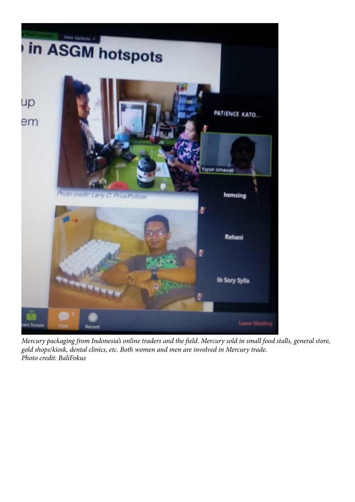

*Mercury packaging from Indonesia's online traders and the field. Mercury sold in small food stalls, general store, gold shops/kiosk, dental clinics, etc. Both women and men are involved in Mercury trade. Photo credit: BaliFokus*